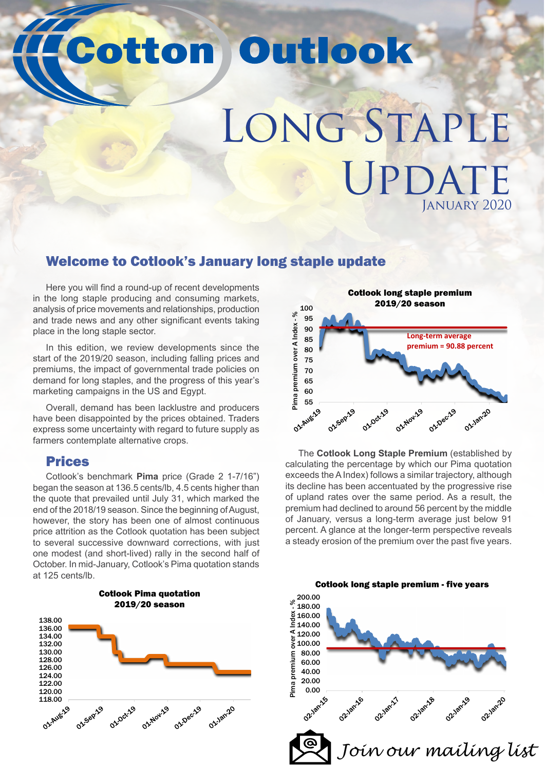# **Cotton Outlook**

# LONG STAPLE UPDATE January 2020

# Welcome to Cotlook's January long staple update

Here you will find a round-up of recent developments in the long staple producing and consuming markets, analysis of price movements and relationships, production and trade news and any other significant events taking place in the long staple sector.

In this edition, we review developments since the start of the 2019/20 season, including falling prices and premiums, the impact of governmental trade policies on demand for long staples, and the progress of this year's marketing campaigns in the US and Egypt.

Overall, demand has been lacklustre and producers have been disappointed by the prices obtained. Traders express some uncertainty with regard to future supply as farmers contemplate alternative crops.

### Prices

Cotlook's benchmark **Pima** price (Grade 2 1-7/16") began the season at 136.5 cents/lb, 4.5 cents higher than the quote that prevailed until July 31, which marked the end of the 2018/19 season. Since the beginning of August, however, the story has been one of almost continuous price attrition as the Cotlook quotation has been subject to several successive downward corrections, with just one modest (and short-lived) rally in the second half of October. In mid-January, Cotlook's Pima quotation stands at 125 cents/lb.





The **Cotlook Long Staple Premium** (established by calculating the percentage by which our Pima quotation exceeds the A Index) follows a similar trajectory, although its decline has been accentuated by the progressive rise of upland rates over the same period. As a result, the premium had declined to around 56 percent by the middle of January, versus a long-term average just below 91 percent. A glance at the longer-term perspective reveals a steady erosion of the premium over the past five years.

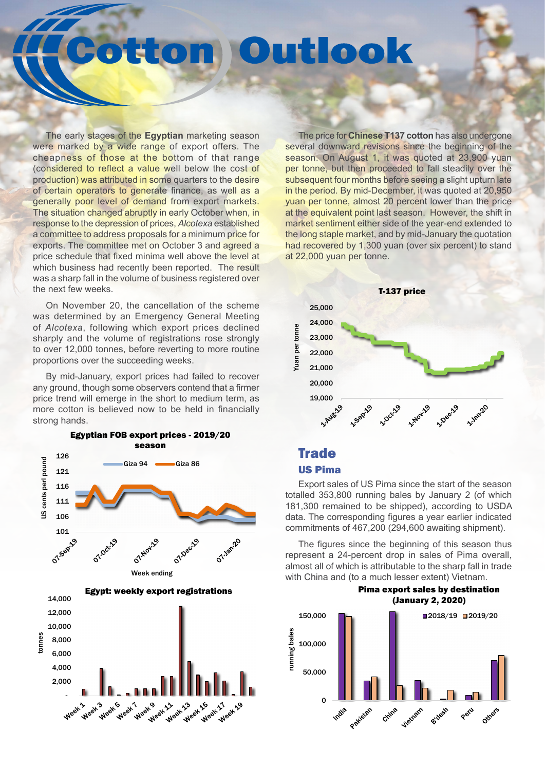# ttom Outlook

The early stages of the **Egyptian** marketing season were marked by a wide range of export offers. The cheapness of those at the bottom of that range (considered to reflect a value well below the cost of production) was attributed in some quarters to the desire of certain operators to generate finance, as well as a generally poor level of demand from export markets. The situation changed abruptly in early October when, in response to the depression of prices, *Alcotexa* established a committee to address proposals for a minimum price for exports. The committee met on October 3 and agreed a price schedule that fixed minima well above the level at which business had recently been reported. The result was a sharp fall in the volume of business registered over the next few weeks.

On November 20, the cancellation of the scheme was determined by an Emergency General Meeting of *Alcotexa*, following which export prices declined sharply and the volume of registrations rose strongly to over 12,000 tonnes, before reverting to more routine proportions over the succeeding weeks.

By mid-January, export prices had failed to recover any ground, though some observers contend that a firmer price trend will emerge in the short to medium term, as more cotton is believed now to be held in financially strong hands.



The price for **Chinese T137 cotton** has also undergone several downward revisions since the beginning of the season. On August 1, it was quoted at 23,900 yuan per tonne, but then proceeded to fall steadily over the subsequent four months before seeing a slight upturn late in the period. By mid-December, it was quoted at 20,950 yuan per tonne, almost 20 percent lower than the price at the equivalent point last season. However, the shift in market sentiment either side of the year-end extended to the long staple market, and by mid-January the quotation had recovered by 1,300 yuan (over six percent) to stand at 22,000 yuan per tonne.



### **Trade** US Pima

Export sales of US Pima since the start of the season totalled 353,800 running bales by January 2 (of which 181,300 remained to be shipped), according to USDA data. The corresponding figures a year earlier indicated commitments of 467,200 (294,600 awaiting shipment).

The figures since the beginning of this season thus represent a 24-percent drop in sales of Pima overall, almost all of which is attributable to the sharp fall in trade with China and (to a much lesser extent) Vietnam.



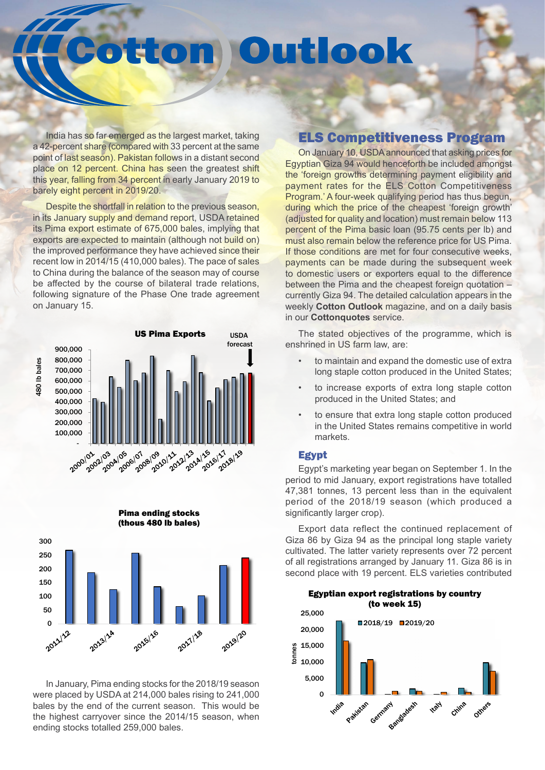# Outlook ton

India has so far emerged as the largest market, taking a 42-percent share (compared with 33 percent at the same point of last season). Pakistan follows in a distant second place on 12 percent. China has seen the greatest shift this year, falling from 34 percent in early January 2019 to barely eight percent in 2019/20.

Despite the shortfall in relation to the previous season, in its January supply and demand report, USDA retained its Pima export estimate of 675,000 bales, implying that exports are expected to maintain (although not build on) the improved performance they have achieved since their recent low in 2014/15 (410,000 bales). The pace of sales to China during the balance of the season may of course be affected by the course of bilateral trade relations, following signature of the Phase One trade agreement on January 15.





Pima ending stocks

In January, Pima ending stocks for the 2018/19 season were placed by USDA at 214,000 bales rising to 241,000 bales by the end of the current season. This would be the highest carryover since the 2014/15 season, when ending stocks totalled 259,000 bales.

### ELS Competitiveness Program

On January 10, USDA announced that asking prices for Egyptian Giza 94 would henceforth be included amongst the 'foreign growths determining payment eligibility and payment rates for the ELS Cotton Competitiveness Program.' A four-week qualifying period has thus begun, during which the price of the cheapest 'foreign growth' (adjusted for quality and location) must remain below 113 percent of the Pima basic loan (95.75 cents per lb) and must also remain below the reference price for US Pima. If those conditions are met for four consecutive weeks. payments can be made during the subsequent week to domestic users or exporters equal to the difference between the Pima and the cheapest foreign quotation – currently Giza 94. The detailed calculation appears in the weekly **Cotton Outlook** magazine, and on a daily basis in our **Cottonquotes** service.

The stated objectives of the programme, which is enshrined in US farm law, are:

- to maintain and expand the domestic use of extra long staple cotton produced in the United States;
- to increase exports of extra long staple cotton produced in the United States; and
- to ensure that extra long staple cotton produced in the United States remains competitive in world markets.

#### Egypt

Egypt's marketing year began on September 1. In the period to mid January, export registrations have totalled 47,381 tonnes, 13 percent less than in the equivalent period of the 2018/19 season (which produced a significantly larger crop).

Export data reflect the continued replacement of Giza 86 by Giza 94 as the principal long staple variety cultivated. The latter variety represents over 72 percent of all registrations arranged by January 11. Giza 86 is in second place with 19 percent. ELS varieties contributed

#### Egyptian export registrations by country (to week 15)

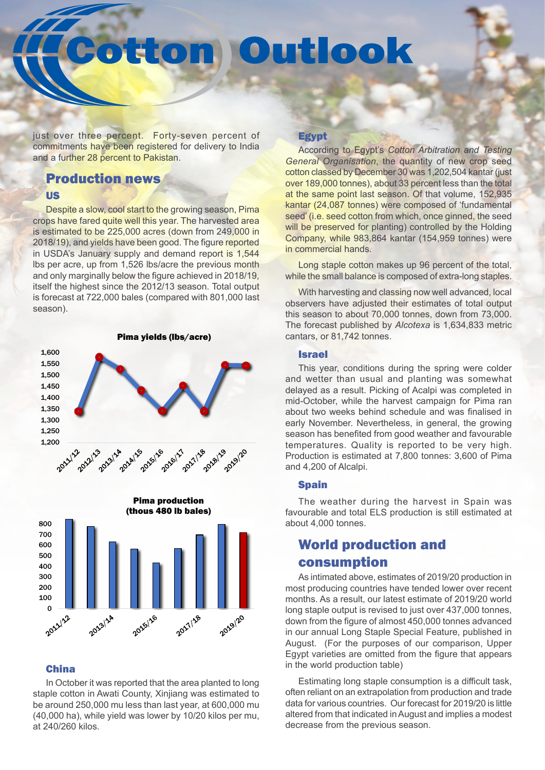# tton Outlook

just over three percent. Forty-seven percent of commitments have been registered for delivery to India and a further 28 percent to Pakistan.

### Production news US

Despite a slow, cool start to the growing season, Pima crops have fared quite well this year. The harvested area is estimated to be 225,000 acres (down from 249,000 in 2018/19), and yields have been good. The figure reported in USDA's January supply and demand report is 1,544 lbs per acre, up from 1,526 lbs/acre the previous month and only marginally below the figure achieved in 2018/19, itself the highest since the 2012/13 season. Total output is forecast at 722,000 bales (compared with 801,000 last season).





### China

In October it was reported that the area planted to long staple cotton in Awati County, Xinjiang was estimated to be around 250,000 mu less than last year, at 600,000 mu (40,000 ha), while yield was lower by 10/20 kilos per mu, at 240/260 kilos.

### **Egypt**

According to Egypt's *Cotton Arbitration and Testing General Organisation*, the quantity of new crop seed cotton classed by December 30 was 1,202,504 kantar (just over 189,000 tonnes), about 33 percent less than the total at the same point last season. Of that volume, 152,935 kantar (24,087 tonnes) were composed of 'fundamental seed' (i.e. seed cotton from which, once ginned, the seed will be preserved for planting) controlled by the Holding Company, while 983,864 kantar (154,959 tonnes) were in commercial hands.

Long staple cotton makes up 96 percent of the total, while the small balance is composed of extra-long staples.

With harvesting and classing now well advanced, local observers have adjusted their estimates of total output this season to about 70,000 tonnes, down from 73,000. The forecast published by *Alcotexa* is 1,634,833 metric cantars, or 81,742 tonnes.

### Israel

This year, conditions during the spring were colder and wetter than usual and planting was somewhat delayed as a result. Picking of Acalpi was completed in mid-October, while the harvest campaign for Pima ran about two weeks behind schedule and was finalised in early November. Nevertheless, in general, the growing season has benefited from good weather and favourable temperatures. Quality is reported to be very high. Production is estimated at 7,800 tonnes: 3,600 of Pima and 4,200 of Alcalpi.

### **Spain**

The weather during the harvest in Spain was favourable and total ELS production is still estimated at about 4,000 tonnes.

# World production and consumption

As intimated above, estimates of 2019/20 production in most producing countries have tended lower over recent months. As a result, our latest estimate of 2019/20 world long staple output is revised to just over 437,000 tonnes, down from the figure of almost 450,000 tonnes advanced in our annual Long Staple Special Feature, published in August. (For the purposes of our comparison, Upper Egypt varieties are omitted from the figure that appears in the world production table)

Estimating long staple consumption is a difficult task, often reliant on an extrapolation from production and trade data for various countries. Our forecast for 2019/20 is little altered from that indicated in August and implies a modest decrease from the previous season.